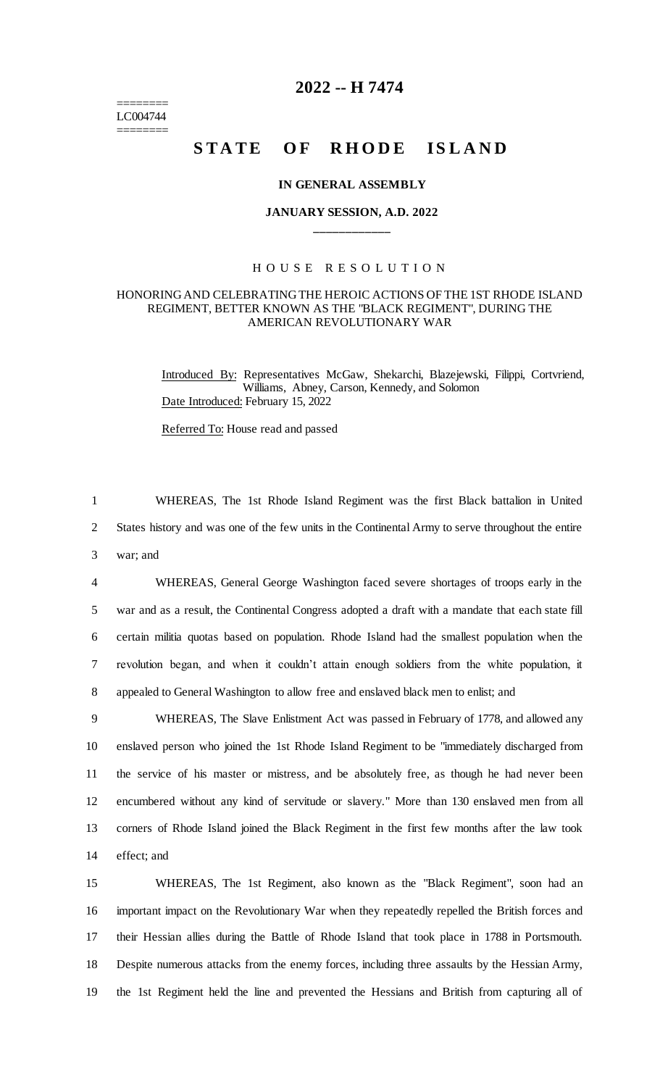======== LC004744 ========

## **2022 -- H 7474**

# **STATE OF RHODE ISLAND**

### **IN GENERAL ASSEMBLY**

## **JANUARY SESSION, A.D. 2022 \_\_\_\_\_\_\_\_\_\_\_\_**

## H O U S E R E S O L U T I O N

### HONORING AND CELEBRATING THE HEROIC ACTIONS OF THE 1ST RHODE ISLAND REGIMENT, BETTER KNOWN AS THE "BLACK REGIMENT", DURING THE AMERICAN REVOLUTIONARY WAR

Introduced By: Representatives McGaw, Shekarchi, Blazejewski, Filippi, Cortvriend, Williams, Abney, Carson, Kennedy, and Solomon Date Introduced: February 15, 2022

Referred To: House read and passed

1 WHEREAS, The 1st Rhode Island Regiment was the first Black battalion in United 2 States history and was one of the few units in the Continental Army to serve throughout the entire 3 war; and

 WHEREAS, General George Washington faced severe shortages of troops early in the war and as a result, the Continental Congress adopted a draft with a mandate that each state fill certain militia quotas based on population. Rhode Island had the smallest population when the revolution began, and when it couldn't attain enough soldiers from the white population, it appealed to General Washington to allow free and enslaved black men to enlist; and

 WHEREAS, The Slave Enlistment Act was passed in February of 1778, and allowed any enslaved person who joined the 1st Rhode Island Regiment to be "immediately discharged from the service of his master or mistress, and be absolutely free, as though he had never been encumbered without any kind of servitude or slavery." More than 130 enslaved men from all corners of Rhode Island joined the Black Regiment in the first few months after the law took effect; and

 WHEREAS, The 1st Regiment, also known as the "Black Regiment", soon had an important impact on the Revolutionary War when they repeatedly repelled the British forces and their Hessian allies during the Battle of Rhode Island that took place in 1788 in Portsmouth. Despite numerous attacks from the enemy forces, including three assaults by the Hessian Army, the 1st Regiment held the line and prevented the Hessians and British from capturing all of